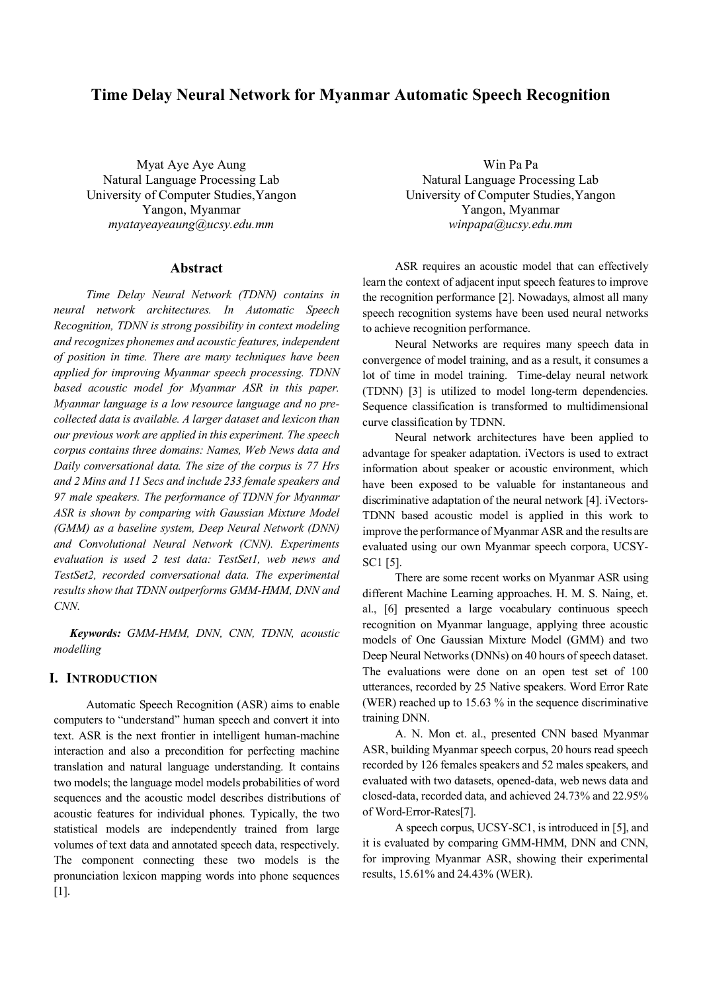# **Time Delay Neural Network for Myanmar Automatic Speech Recognition**

Myat Aye Aye Aung Natural Language Processing Lab University of Computer Studies,Yangon Yangon, Myanmar *myatayeayeaung@ucsy.edu.mm*

### **Abstract**

*Time Delay Neural Network (TDNN) contains in neural network architectures. In Automatic Speech Recognition, TDNN is strong possibility in context modeling and recognizes phonemes and acoustic features, independent of position in time. There are many techniques have been applied for improving Myanmar speech processing. TDNN based acoustic model for Myanmar ASR in this paper. Myanmar language is a low resource language and no precollected data is available. A larger dataset and lexicon than our previous work are applied in this experiment. The speech corpus contains three domains: Names, Web News data and Daily conversational data. The size of the corpus is 77 Hrs and 2 Mins and 11 Secs and include 233 female speakers and 97 male speakers. The performance of TDNN for Myanmar ASR is shown by comparing with Gaussian Mixture Model (GMM) as a baseline system, Deep Neural Network (DNN) and Convolutional Neural Network (CNN). Experiments evaluation is used 2 test data: TestSet1, web news and TestSet2, recorded conversational data. The experimental results show that TDNN outperforms GMM-HMM, DNN and CNN.*

*Keywords: GMM-HMM, DNN, CNN, TDNN, acoustic modelling*

## **I. INTRODUCTION**

Automatic Speech Recognition (ASR) aims to enable computers to "understand" human speech and convert it into text. ASR is the next frontier in intelligent human-machine interaction and also a precondition for perfecting machine translation and natural language understanding. It contains two models; the language model models probabilities of word sequences and the acoustic model describes distributions of acoustic features for individual phones. Typically, the two statistical models are independently trained from large volumes of text data and annotated speech data, respectively. The component connecting these two models is the pronunciation lexicon mapping words into phone sequences  $[1]$ .

Win Pa Pa Natural Language Processing Lab University of Computer Studies,Yangon Yangon, Myanmar *winpapa@ucsy.edu.mm*

ASR requires an acoustic model that can effectively learn the context of adjacent input speech features to improve the recognition performance [2]. Nowadays, almost all many speech recognition systems have been used neural networks to achieve recognition performance.

Neural Networks are requires many speech data in convergence of model training, and as a result, it consumes a lot of time in model training. Time-delay neural network (TDNN) [3] is utilized to model long-term dependencies. Sequence classification is transformed to multidimensional curve classification by TDNN.

Neural network architectures have been applied to advantage for speaker adaptation. iVectors is used to extract information about speaker or acoustic environment, which have been exposed to be valuable for instantaneous and discriminative adaptation of the neural network [4]. iVectors-TDNN based acoustic model is applied in this work to improve the performance of Myanmar ASR and the results are evaluated using our own Myanmar speech corpora, UCSY-SC1 [5].

There are some recent works on Myanmar ASR using different Machine Learning approaches. H. M. S. Naing, et. al., [6] presented a large vocabulary continuous speech recognition on Myanmar language, applying three acoustic models of One Gaussian Mixture Model (GMM) and two Deep Neural Networks (DNNs) on 40 hours of speech dataset. The evaluations were done on an open test set of 100 utterances, recorded by 25 Native speakers. Word Error Rate (WER) reached up to 15.63 % in the sequence discriminative training DNN.

A. N. Mon et. al., presented CNN based Myanmar ASR, building Myanmar speech corpus, 20 hours read speech recorded by 126 females speakers and 52 males speakers, and evaluated with two datasets, opened-data, web news data and closed-data, recorded data, and achieved 24.73% and 22.95% of Word-Error-Rates[7].

A speech corpus, UCSY-SC1, is introduced in [5], and it is evaluated by comparing GMM-HMM, DNN and CNN, for improving Myanmar ASR, showing their experimental results, 15.61% and 24.43% (WER).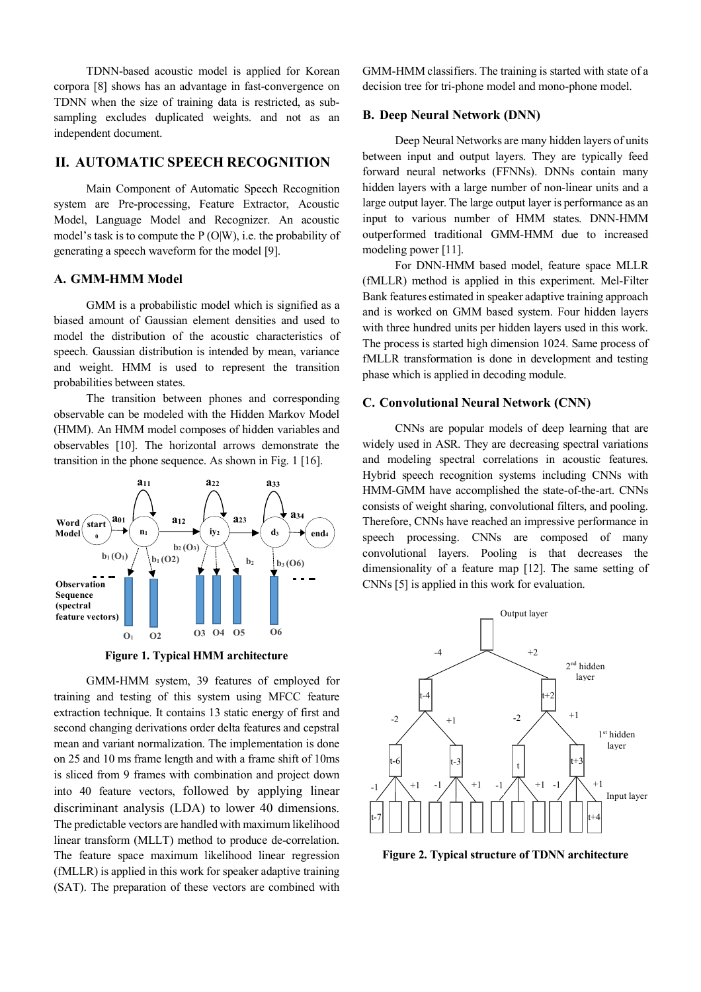TDNN-based acoustic model is applied for Korean corpora [8] shows has an advantage in fast-convergence on TDNN when the size of training data is restricted, as subsampling excludes duplicated weights. and not as an independent document.

### **II. AUTOMATIC SPEECH RECOGNITION**

Main Component of Automatic Speech Recognition system are Pre-processing, Feature Extractor, Acoustic Model, Language Model and Recognizer. An acoustic model's task is to compute the  $P(O|W)$ , i.e. the probability of generating a speech waveform for the model [9].

#### **A. GMM-HMM Model**

GMM is a probabilistic model which is signified as a biased amount of Gaussian element densities and used to model the distribution of the acoustic characteristics of speech. Gaussian distribution is intended by mean, variance and weight. HMM is used to represent the transition probabilities between states.

The transition between phones and corresponding observable can be modeled with the Hidden Markov Model (HMM). An HMM model composes of hidden variables and observables [10]. The horizontal arrows demonstrate the transition in the phone sequence. As shown in Fig. 1 [16].



**Figure 1. Typical HMM architecture**

GMM-HMM system, 39 features of employed for training and testing of this system using MFCC feature extraction technique. It contains 13 static energy of first and second changing derivations order delta features and cepstral mean and variant normalization. The implementation is done on 25 and 10 ms frame length and with a frame shift of 10ms is sliced from 9 frames with combination and project down into 40 feature vectors, followed by applying linear discriminant analysis (LDA) to lower 40 dimensions. The predictable vectors are handled with maximum likelihood linear transform (MLLT) method to produce de-correlation. The feature space maximum likelihood linear regression (fMLLR) is applied in this work for speaker adaptive training (SAT). The preparation of these vectors are combined with GMM-HMM classifiers. The training is started with state of a decision tree for tri-phone model and mono-phone model.

#### **B. Deep Neural Network (DNN)**

Deep Neural Networks are many hidden layers of units between input and output layers. They are typically feed forward neural networks (FFNNs). DNNs contain many hidden layers with a large number of non-linear units and a large output layer. The large output layer is performance as an input to various number of HMM states. DNN-HMM outperformed traditional GMM-HMM due to increased modeling power [11].

For DNN-HMM based model, feature space MLLR (fMLLR) method is applied in this experiment. Mel-Filter Bank features estimated in speaker adaptive training approach and is worked on GMM based system. Four hidden layers with three hundred units per hidden layers used in this work. The process is started high dimension 1024. Same process of fMLLR transformation is done in development and testing phase which is applied in decoding module.

#### **C. Convolutional Neural Network (CNN)**

CNNs are popular models of deep learning that are widely used in ASR. They are decreasing spectral variations and modeling spectral correlations in acoustic features. Hybrid speech recognition systems including CNNs with HMM-GMM have accomplished the state-of-the-art. CNNs consists of weight sharing, convolutional filters, and pooling. Therefore, CNNs have reached an impressive performance in speech processing. CNNs are composed of many convolutional layers. Pooling is that decreases the dimensionality of a feature map [12]. The same setting of CNNs [5] is applied in this work for evaluation.



**Figure 2. Typical structure of TDNN architecture**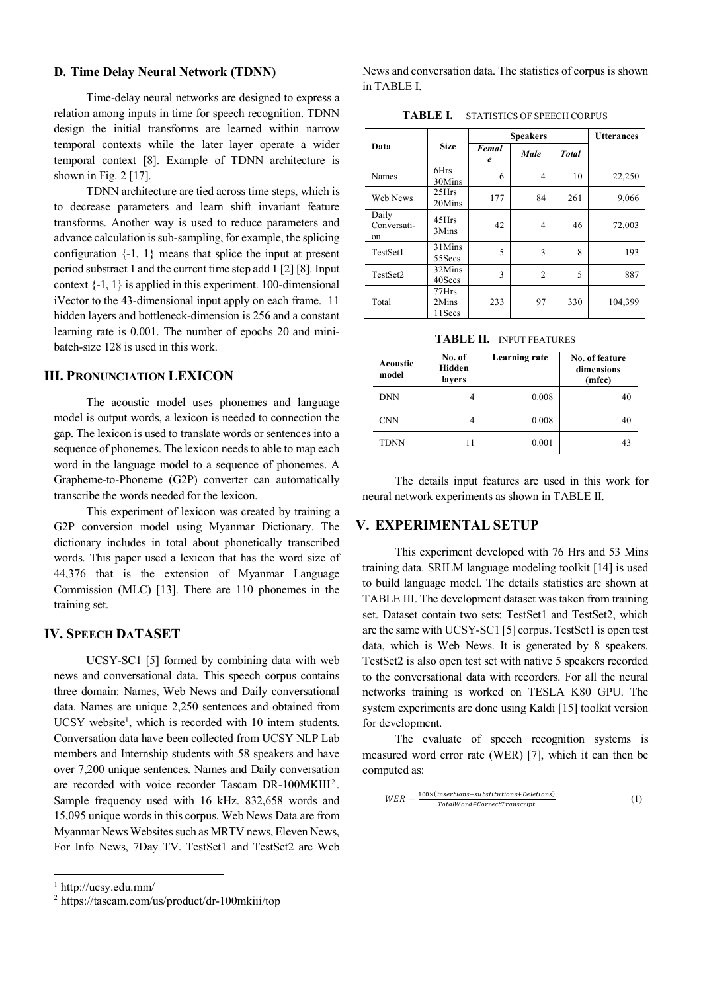#### **D. Time Delay Neural Network (TDNN)**

Time-delay neural networks are designed to express a relation among inputs in time for speech recognition. TDNN design the initial transforms are learned within narrow temporal contexts while the later layer operate a wider temporal context [8]. Example of TDNN architecture is shown in Fig.  $2$  [17].

TDNN architecture are tied across time steps, which is to decrease parameters and learn shift invariant feature transforms. Another way is used to reduce parameters and advance calculation is sub-sampling, for example, the splicing configuration  $\{-1, 1\}$  means that splice the input at present period substract 1 and the current time step add 1 [2] [8]. Input context {-1, 1} is applied in this experiment. 100-dimensional iVector to the 43-dimensional input apply on each frame. 11 hidden layers and bottleneck-dimension is 256 and a constant learning rate is 0.001. The number of epochs 20 and minibatch-size 128 is used in this work.

#### **III. PRONUNCIATION LEXICON**

The acoustic model uses phonemes and language model is output words, a lexicon is needed to connection the gap. The lexicon is used to translate words or sentences into a sequence of phonemes. The lexicon needs to able to map each word in the language model to a sequence of phonemes. A Grapheme-to-Phoneme (G2P) converter can automatically transcribe the words needed for the lexicon.

This experiment of lexicon was created by training a G2P conversion model using Myanmar Dictionary. The dictionary includes in total about phonetically transcribed words. This paper used a lexicon that has the word size of 44,376 that is the extension of Myanmar Language Commission (MLC) [13]. There are 110 phonemes in the training set.

#### **IV. SPEECH DATASET**

UCSY-SC1 [5] formed by combining data with web news and conversational data. This speech corpus contains three domain: Names, Web News and Daily conversational data. Names are unique 2,250 sentences and obtained from UCSY website<sup>1</sup>, which is recorded with 10 intern students. Conversation data have been collected from UCSY NLP Lab members and Internship students with 58 speakers and have over 7,200 unique sentences. Names and Daily conversation are recorded with voice recorder Tascam DR-100MKIII<sup>2</sup>. Sample frequency used with 16 kHz. 832,658 words and 15,095 unique words in this corpus. Web News Data are from Myanmar News Websites such as MRTV news, Eleven News, For Info News, 7Day TV. TestSet1 and TestSet2 are Web

1 http://ucsy.edu.mm/

News and conversation data. The statistics of corpus is shown in TABLE I.

| TABLE I. | <b>STATISTICS OF SPEECH CORPUS</b> |
|----------|------------------------------------|
|----------|------------------------------------|

|                            |                           | <b>Speakers</b> | <b>Utterances</b> |              |         |
|----------------------------|---------------------------|-----------------|-------------------|--------------|---------|
| Data                       | <b>Size</b>               | Femal<br>e      | Male              | <b>Total</b> |         |
| Names                      | 6Hrs<br>30Mins            | 6               | 4                 | 10           | 22,250  |
| Web News                   | 25Hrs<br>20Mins           | 177             | 84                | 261          | 9,066   |
| Daily<br>Conversati-<br>on | 45Hrs<br>3Mins            | 42              | 4                 | 46           | 72,003  |
| TestSet1                   | 31 Mins<br>55 Secs        | 5               | 3                 | 8            | 193     |
| TestSet2                   | 32Mins<br>40Secs          | 3               | 2                 | 5            | 887     |
| Total                      | 77Hrs<br>2Mins<br>11 Secs | 233             | 97                | 330          | 104,399 |

**TABLE II.** INPUT FEATURES

| Acoustic<br>model | No. of<br>Hidden<br>lavers | Learning rate | No. of feature<br>dimensions<br>(mfcc) |
|-------------------|----------------------------|---------------|----------------------------------------|
| DNN               | 4                          | 0.008         | 40                                     |
| <b>CNN</b>        | 4                          | 0.008         | 40                                     |
| <b>TDNN</b>       |                            | 0.001         |                                        |

The details input features are used in this work for neural network experiments as shown in TABLE II.

#### **V. EXPERIMENTAL SETUP**

This experiment developed with 76 Hrs and 53 Mins training data. SRILM language modeling toolkit [14] is used to build language model. The details statistics are shown at TABLE III. The development dataset was taken from training set. Dataset contain two sets: TestSet1 and TestSet2, which are the same with UCSY-SC1 [5] corpus. TestSet1 is open test data, which is Web News. It is generated by 8 speakers. TestSet2 is also open test set with native 5 speakers recorded to the conversational data with recorders. For all the neural networks training is worked on TESLA K80 GPU. The system experiments are done using Kaldi [15] toolkit version for development.

The evaluate of speech recognition systems is measured word error rate (WER) [7], which it can then be computed as:

$$
WER = \frac{100 \times (insertions + substitutions + Deletions)}{TotalWord \in CorrectTranscript}
$$
 (1)

<sup>2</sup> https://tascam.com/us/product/dr-100mkiii/top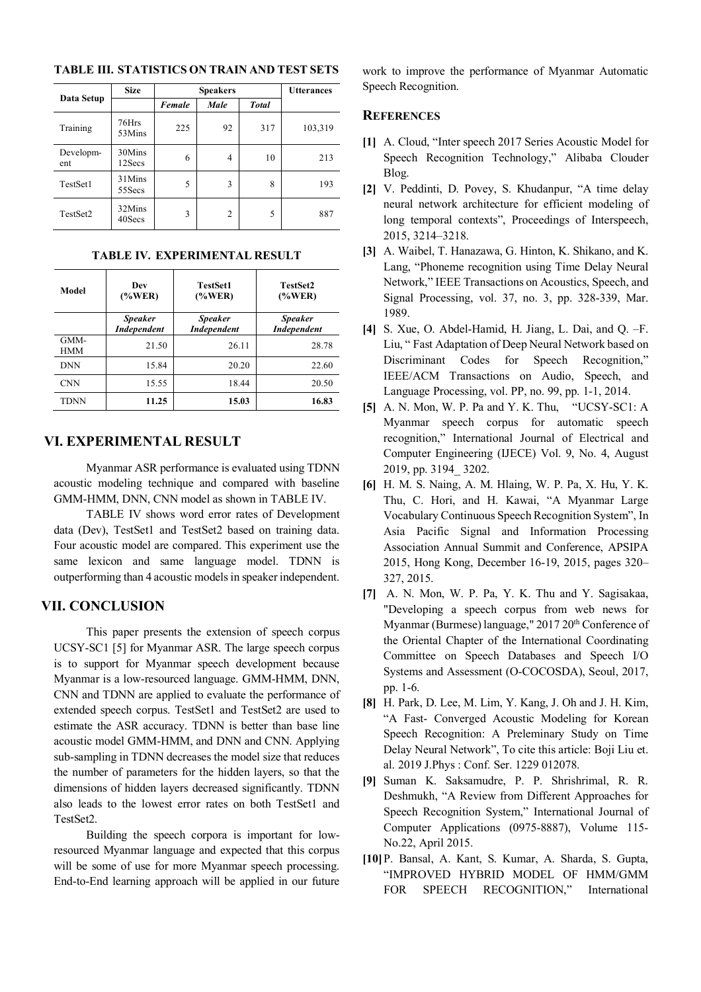|                  | <b>Size</b>       | <b>Speakers</b> |      |              | <b>Utterances</b> |
|------------------|-------------------|-----------------|------|--------------|-------------------|
| Data Setup       |                   | Female          | Male | <b>Total</b> |                   |
| Training         | 76Hrs<br>53Mins   | 225             | 92   | 317          | 103,319           |
| Developm-<br>ent | 30Mins<br>12Secs  | 6               | 4    | 10           | 213               |
| TestSet1         | 31Mins<br>55Secs  | 5               | 3    | 8            | 193               |
| TestSet2         | 32Mins<br>40 Secs | 3               | 2    | 5            | 887               |

**TABLE III. STATISTICS ON TRAIN AND TEST SETS**

| Model              | Dev<br>$(\%WER)$                     | <b>TestSet1</b><br>$(\%WER)$         | <b>TestSet2</b><br>$(\%WER)$         |  |
|--------------------|--------------------------------------|--------------------------------------|--------------------------------------|--|
|                    | <b>Speaker</b><br><b>Independent</b> | <b>Speaker</b><br><b>Independent</b> | <b>Speaker</b><br><b>Independent</b> |  |
| GMM-<br><b>HMM</b> | 21.50                                | 26.11                                | 28.78                                |  |
| <b>DNN</b>         | 15.84                                | 20.20                                | 22.60                                |  |
| <b>CNN</b>         | 15.55                                | 18.44                                | 20.50                                |  |
| TDNN               | 11.25                                | 15.03                                | 16.83                                |  |

**TABLE IV. EXPERIMENTAL RESULT**

### **VI. EXPERIMENTAL RESULT**

Myanmar ASR performance is evaluated using TDNN acoustic modeling technique and compared with baseline GMM-HMM, DNN, CNN model as shown in TABLE IV.

TABLE IV shows word error rates of Development data (Dev), TestSet1 and TestSet2 based on training data. Four acoustic model are compared. This experiment use the same lexicon and same language model. TDNN is outperforming than 4 acoustic models in speaker independent.

## **VII. CONCLUSION**

This paper presents the extension of speech corpus UCSY-SC1 [5] for Myanmar ASR. The large speech corpus is to support for Myanmar speech development because Myanmar is a low-resourced language. GMM-HMM, DNN, CNN and TDNN are applied to evaluate the performance of extended speech corpus. TestSet1 and TestSet2 are used to estimate the ASR accuracy. TDNN is better than base line acoustic model GMM-HMM, and DNN and CNN. Applying sub-sampling in TDNN decreases the model size that reduces the number of parameters for the hidden layers, so that the dimensions of hidden layers decreased significantly. TDNN also leads to the lowest error rates on both TestSet1 and TestSet2.

Building the speech corpora is important for lowresourced Myanmar language and expected that this corpus will be some of use for more Myanmar speech processing. End-to-End learning approach will be applied in our future

work to improve the performance of Myanmar Automatic Speech Recognition.

#### **REFERENCES**

- **[1]** A. Cloud, "Inter speech 2017 Series Acoustic Model for Speech Recognition Technology," Alibaba Clouder Blog.
- **[2]** V. Peddinti, D. Povey, S. Khudanpur, "A time delay neural network architecture for efficient modeling of long temporal contexts", Proceedings of Interspeech, 2015, 3214–3218.
- **[3]** A. Waibel, T. Hanazawa, G. Hinton, K. Shikano, and K. Lang, "Phoneme recognition using Time Delay Neural Network," IEEE Transactions on Acoustics, Speech, and Signal Processing, vol. 37, no. 3, pp. 328-339, Mar. 1989.
- **[4]** S. Xue, O. Abdel-Hamid, H. Jiang, L. Dai, and Q. –F. Liu, " Fast Adaptation of Deep Neural Network based on Discriminant Codes for Speech Recognition," IEEE/ACM Transactions on Audio, Speech, and Language Processing, vol. PP, no. 99, pp. 1-1, 2014.
- **[5]** A. N. Mon, W. P. Pa and Y. K. Thu, "UCSY-SC1: A Myanmar speech corpus for automatic speech recognition," International Journal of Electrical and Computer Engineering (IJECE) Vol. 9, No. 4, August 2019, pp. 3194*\_* 3202.
- **[6]** H. M. S. Naing, A. M. Hlaing, W. P. Pa, X. Hu, Y. K. Thu, C. Hori, and H. Kawai, "A Myanmar Large Vocabulary Continuous Speech Recognition System", In Asia Pacific Signal and Information Processing Association Annual Summit and Conference, APSIPA 2015, Hong Kong, December 16-19, 2015, pages 320– 327, 2015.
- **[7]** A. N. Mon, W. P. Pa, Y. K. Thu and Y. Sagisakaa, "Developing a speech corpus from web news for Myanmar (Burmese) language,"  $2017 20<sup>th</sup>$  Conference of the Oriental Chapter of the International Coordinating Committee on Speech Databases and Speech I/O Systems and Assessment (O-COCOSDA), Seoul, 2017, pp. 1-6.
- **[8]** H. Park, D. Lee, M. Lim, Y. Kang, J. Oh and J. H. Kim, "A Fast- Converged Acoustic Modeling for Korean Speech Recognition: A Preleminary Study on Time Delay Neural Network", To cite this article: Boji Liu et. al. 2019 J.Phys : Conf. Ser. 1229 012078.
- **[9]** Suman K. Saksamudre, P. P. Shrishrimal, R. R. Deshmukh, "A Review from Different Approaches for Speech Recognition System," International Journal of Computer Applications (0975-8887), Volume 115- No.22, April 2015.
- **[10]**P. Bansal, A. Kant, S. Kumar, A. Sharda, S. Gupta, "IMPROVED HYBRID MODEL OF HMM/GMM FOR SPEECH RECOGNITION," International